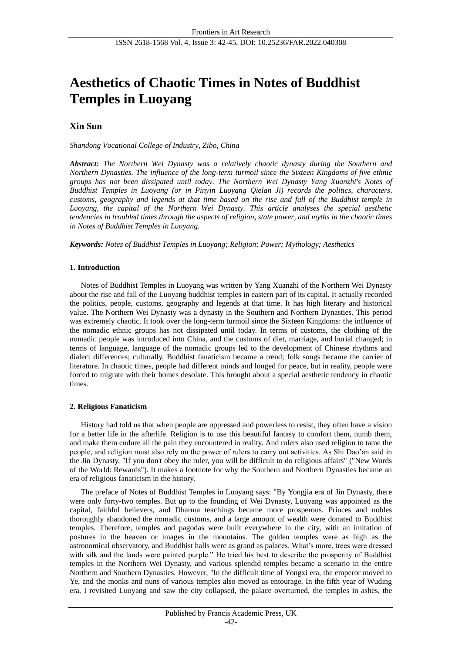# **Aesthetics of Chaotic Times in Notes of Buddhist Temples in Luoyang**

# **Xin Sun**

*Shandong Vocational College of Industry, Zibo, China*

*Abstract: The Northern Wei Dynasty was a relatively chaotic dynasty during the Southern and Northern Dynasties. The influence of the long-term turmoil since the Sixteen Kingdoms of five ethnic groups has not been dissipated until today. The Northern Wei Dynasty Yang Xuanzhi's Notes of Buddhist Temples in Luoyang (or in Pinyin Luoyang Qielan Ji) records the politics, characters, customs, geography and legends at that time based on the rise and fall of the Buddhist temple in Luoyang, the capital of the Northern Wei Dynasty. This article analyses the special aesthetic tendencies in troubled times through the aspects of religion, state power, and myths in the chaotic times in Notes of Buddhist Temples in Luoyang.*

*Keywords: Notes of Buddhist Temples in Luoyang; Religion; Power; Mythology; Aesthetics*

# **1. Introduction**

Notes of Buddhist Temples in Luoyang was written by Yang Xuanzhi of the Northern Wei Dynasty about the rise and fall of the Luoyang buddhist temples in eastern part of its capital. It actually recorded the politics, people, customs, geography and legends at that time. It has high literary and historical value. The Northern Wei Dynasty was a dynasty in the Southern and Northern Dynasties. This period was extremely chaotic. It took over the long-term turmoil since the Sixteen Kingdoms: the influence of the nomadic ethnic groups has not dissipated until today. In terms of customs, the clothing of the nomadic people was introduced into China, and the customs of diet, marriage, and burial changed; in terms of language, language of the nomadic groups led to the development of Chinese rhythms and dialect differences; culturally, Buddhist fanaticism became a trend; folk songs became the carrier of literature. In chaotic times, people had different minds and longed for peace, but in reality, people were forced to migrate with their homes desolate. This brought about a special aesthetic tendency in chaotic times.

## **2. Religious Fanaticism**

History had told us that when people are oppressed and powerless to resist, they often have a vision for a better life in the afterlife. Religion is to use this beautiful fantasy to comfort them, numb them, and make them endure all the pain they encountered in reality. And rulers also used religion to tame the people, and religion must also rely on the power of rulers to carry out activities. As Shi Dao'an said in the Jin Dynasty, "If you don't obey the ruler, you will be difficult to do religious affairs" ("New Words of the World: Rewards"). It makes a footnote for why the Southern and Northern Dynasties became an era of religious fanaticism in the history.

The preface of Notes of Buddhist Temples in Luoyang says: "By Yongjia era of Jin Dynasty, there were only forty-two temples. But up to the founding of Wei Dynasty, Luoyang was appointed as the capital, faithful believers, and Dharma teachings became more prosperous. Princes and nobles thoroughly abandoned the nomadic customs, and a large amount of wealth were donated to Buddhist temples. Therefore, temples and pagodas were built everywhere in the city, with an imitation of postures in the heaven or images in the mountains. The golden temples were as high as the astronomical observatory, and Buddhist halls were as grand as palaces. What's more, trees were dressed with silk and the lands were painted purple." He tried his best to describe the prosperity of Buddhist temples in the Northern Wei Dynasty, and various splendid temples became a scenario in the entire Northern and Southern Dynasties. However, "In the difficult time of Yongxi era, the emperor moved to Ye, and the monks and nuns of various temples also moved as entourage. In the fifth year of Wuding era, I revisited Luoyang and saw the city collapsed, the palace overturned, the temples in ashes, the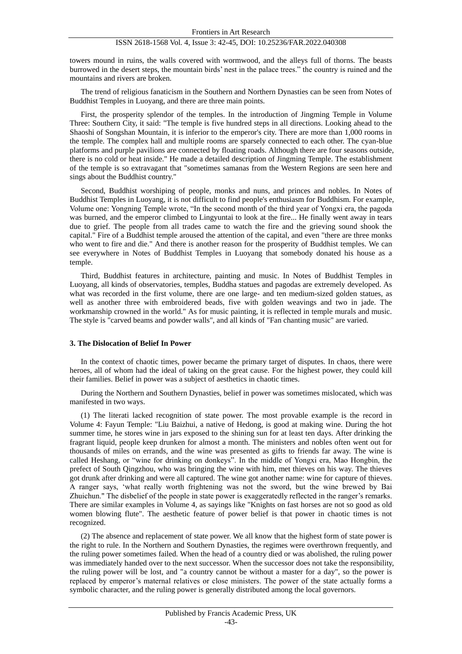# ISSN 2618-1568 Vol. 4, Issue 3: 42-45, DOI: 10.25236/FAR.2022.040308

towers mound in ruins, the walls covered with wormwood, and the alleys full of thorns. The beasts burrowed in the desert steps, the mountain birds' nest in the palace trees." the country is ruined and the mountains and rivers are broken.

The trend of religious fanaticism in the Southern and Northern Dynasties can be seen from Notes of Buddhist Temples in Luoyang, and there are three main points.

First, the prosperity splendor of the temples. In the introduction of Jingming Temple in Volume Three: Southern City, it said: "The temple is five hundred steps in all directions. Looking ahead to the Shaoshi of Songshan Mountain, it is inferior to the emperor's city. There are more than 1,000 rooms in the temple. The complex hall and multiple rooms are sparsely connected to each other. The cyan-blue platforms and purple pavilions are connected by floating roads. Although there are four seasons outside, there is no cold or heat inside." He made a detailed description of Jingming Temple. The establishment of the temple is so extravagant that "sometimes samanas from the Western Regions are seen here and sings about the Buddhist country."

Second, Buddhist worshiping of people, monks and nuns, and princes and nobles. In Notes of Buddhist Temples in Luoyang, it is not difficult to find people's enthusiasm for Buddhism. For example, Volume one: Yongning Temple wrote, "In the second month of the third year of Yongxi era, the pagoda was burned, and the emperor climbed to Lingyuntai to look at the fire... He finally went away in tears due to grief. The people from all trades came to watch the fire and the grieving sound shook the capital." Fire of a Buddhist temple aroused the attention of the capital, and even "there are three monks who went to fire and die." And there is another reason for the prosperity of Buddhist temples. We can see everywhere in Notes of Buddhist Temples in Luoyang that somebody donated his house as a temple.

Third, Buddhist features in architecture, painting and music. In Notes of Buddhist Temples in Luoyang, all kinds of observatories, temples, Buddha statues and pagodas are extremely developed. As what was recorded in the first volume, there are one large- and ten medium-sized golden statues, as well as another three with embroidered beads, five with golden weavings and two in jade. The workmanship crowned in the world." As for music painting, it is reflected in temple murals and music. The style is "carved beams and powder walls", and all kinds of "Fan chanting music" are varied.

#### **3. The Dislocation of Belief In Power**

In the context of chaotic times, power became the primary target of disputes. In chaos, there were heroes, all of whom had the ideal of taking on the great cause. For the highest power, they could kill their families. Belief in power was a subject of aesthetics in chaotic times.

During the Northern and Southern Dynasties, belief in power was sometimes mislocated, which was manifested in two ways.

(1) The literati lacked recognition of state power. The most provable example is the record in Volume 4: Fayun Temple: "Liu Baizhui, a native of Hedong, is good at making wine. During the hot summer time, he stores wine in jars exposed to the shining sun for at least ten days. After drinking the fragrant liquid, people keep drunken for almost a month. The ministers and nobles often went out for thousands of miles on errands, and the wine was presented as gifts to friends far away. The wine is called Heshang, or "wine for drinking on donkeys". In the middle of Yongxi era, Mao Hongbin, the prefect of South Qingzhou, who was bringing the wine with him, met thieves on his way. The thieves got drunk after drinking and were all captured. The wine got another name: wine for capture of thieves. A ranger says, 'what really worth frightening was not the sword, but the wine brewed by Bai Zhuichun." The disbelief of the people in state power is exaggeratedly reflected in the ranger's remarks. There are similar examples in Volume 4, as sayings like "Knights on fast horses are not so good as old women blowing flute". The aesthetic feature of power belief is that power in chaotic times is not recognized.

(2) The absence and replacement of state power. We all know that the highest form of state power is the right to rule. In the Northern and Southern Dynasties, the regimes were overthrown frequently, and the ruling power sometimes failed. When the head of a country died or was abolished, the ruling power was immediately handed over to the next successor. When the successor does not take the responsibility, the ruling power will be lost, and "a country cannot be without a master for a day", so the power is replaced by emperor's maternal relatives or close ministers. The power of the state actually forms a symbolic character, and the ruling power is generally distributed among the local governors.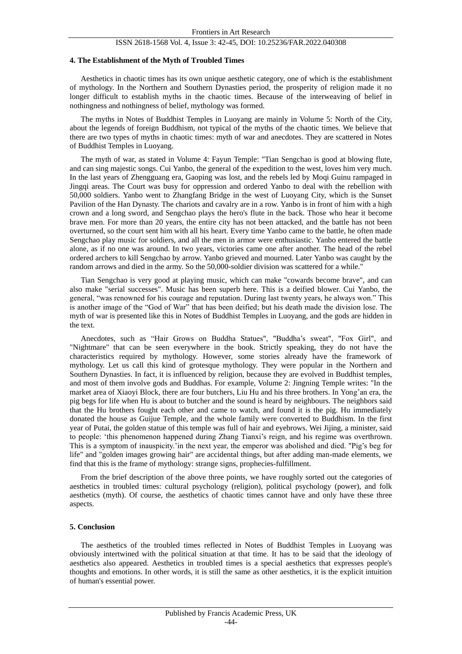## ISSN 2618-1568 Vol. 4, Issue 3: 42-45, DOI: 10.25236/FAR.2022.040308

#### **4. The Establishment of the Myth of Troubled Times**

Aesthetics in chaotic times has its own unique aesthetic category, one of which is the establishment of mythology. In the Northern and Southern Dynasties period, the prosperity of religion made it no longer difficult to establish myths in the chaotic times. Because of the interweaving of belief in nothingness and nothingness of belief, mythology was formed.

The myths in Notes of Buddhist Temples in Luoyang are mainly in Volume 5: North of the City, about the legends of foreign Buddhism, not typical of the myths of the chaotic times. We believe that there are two types of myths in chaotic times: myth of war and anecdotes. They are scattered in Notes of Buddhist Temples in Luoyang.

The myth of war, as stated in Volume 4: Fayun Temple: "Tian Sengchao is good at blowing flute, and can sing majestic songs. Cui Yanbo, the general of the expedition to the west, loves him very much. In the last years of Zhengguang era, Gaoping was lost, and the rebels led by Moqi Guinu rampaged in Jingqi areas. The Court was busy for oppression and ordered Yanbo to deal with the rebellion with 50,000 soldiers. Yanbo went to Zhangfang Bridge in the west of Luoyang City, which is the Sunset Pavilion of the Han Dynasty. The chariots and cavalry are in a row. Yanbo is in front of him with a high crown and a long sword, and Sengchao plays the hero's flute in the back. Those who hear it become brave men. For more than 20 years, the entire city has not been attacked, and the battle has not been overturned, so the court sent him with all his heart. Every time Yanbo came to the battle, he often made Sengchao play music for soldiers, and all the men in armor were enthusiastic. Yanbo entered the battle alone, as if no one was around. In two years, victories came one after another. The head of the rebel ordered archers to kill Sengchao by arrow. Yanbo grieved and mourned. Later Yanbo was caught by the random arrows and died in the army. So the 50,000-soldier division was scattered for a while."

Tian Sengchao is very good at playing music, which can make "cowards become brave", and can also make "serial successes". Music has been superb here. This is a deified blower. Cui Yanbo, the general, "was renowned for his courage and reputation. During last twenty years, he always won." This is another image of the "God of War" that has been deified; but his death made the division lose. The myth of war is presented like this in Notes of Buddhist Temples in Luoyang, and the gods are hidden in the text.

Anecdotes, such as "Hair Grows on Buddha Statues", "Buddha's sweat", "Fox Girl", and "Nightmare" that can be seen everywhere in the book. Strictly speaking, they do not have the characteristics required by mythology. However, some stories already have the framework of mythology. Let us call this kind of grotesque mythology. They were popular in the Northern and Southern Dynasties. In fact, it is influenced by religion, because they are evolved in Buddhist temples, and most of them involve gods and Buddhas. For example, Volume 2: Jingning Temple writes: "In the market area of Xiaoyi Block, there are four butchers, Liu Hu and his three brothers. In Yong'an era, the pig begs for life when Hu is about to butcher and the sound is heard by neighbours. The neighbors said that the Hu brothers fought each other and came to watch, and found it is the pig. Hu immediately donated the house as Guijue Temple, and the whole family were converted to Buddhism. In the first year of Putai, the golden statue of this temple was full of hair and eyebrows. Wei Jijing, a minister, said to people: 'this phenomenon happened during Zhang Tianxi's reign, and his regime was overthrown. This is a symptom of inauspicity.'in the next year, the emperor was abolished and died. "Pig's beg for life" and "golden images growing hair" are accidental things, but after adding man-made elements, we find that this is the frame of mythology: strange signs, prophecies-fulfillment.

From the brief description of the above three points, we have roughly sorted out the categories of aesthetics in troubled times: cultural psychology (religion), political psychology (power), and folk aesthetics (myth). Of course, the aesthetics of chaotic times cannot have and only have these three aspects.

#### **5. Conclusion**

The aesthetics of the troubled times reflected in Notes of Buddhist Temples in Luoyang was obviously intertwined with the political situation at that time. It has to be said that the ideology of aesthetics also appeared. Aesthetics in troubled times is a special aesthetics that expresses people's thoughts and emotions. In other words, it is still the same as other aesthetics, it is the explicit intuition of human's essential power.